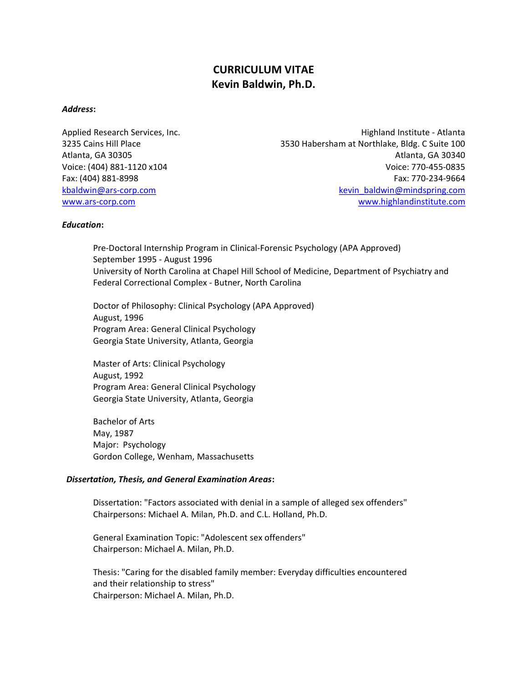# CURRICULUM VITAE Kevin Baldwin, Ph.D.

# Address:

Applied Research Services, Inc. No. 1996. The Services of Atlanta and Atlanta institute - Atlanta 3235 Cains Hill Place 3530 Habersham at Northlake, Bldg. C Suite 100 Atlanta, GA 30305 Atlanta, GA 30340 Voice: (404) 881-1120 x104 Voice: 770-455-0835 Fax: (404) 881-8998 Fax: 770-234-9664 kbaldwin@ars-corp.com example and the second service of the service of the kevin baldwin@mindspring.com www.ars-corp.com www.highlandinstitute.com

## Education:

Pre-Doctoral Internship Program in Clinical-Forensic Psychology (APA Approved) September 1995 - August 1996 University of North Carolina at Chapel Hill School of Medicine, Department of Psychiatry and Federal Correctional Complex - Butner, North Carolina

Doctor of Philosophy: Clinical Psychology (APA Approved) August, 1996 Program Area: General Clinical Psychology Georgia State University, Atlanta, Georgia

Master of Arts: Clinical Psychology August, 1992 Program Area: General Clinical Psychology Georgia State University, Atlanta, Georgia

Bachelor of Arts May, 1987 Major: Psychology Gordon College, Wenham, Massachusetts

# Dissertation, Thesis, and General Examination Areas:

Dissertation: "Factors associated with denial in a sample of alleged sex offenders" Chairpersons: Michael A. Milan, Ph.D. and C.L. Holland, Ph.D.

General Examination Topic: "Adolescent sex offenders" Chairperson: Michael A. Milan, Ph.D.

Thesis: "Caring for the disabled family member: Everyday difficulties encountered and their relationship to stress" Chairperson: Michael A. Milan, Ph.D.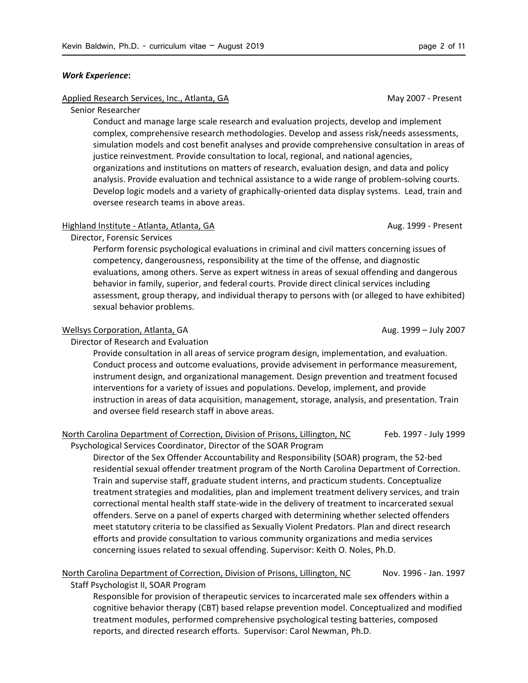#### Work Experience:

## Applied Research Services, Inc., Atlanta, GA May 2007 - Present

## Senior Researcher

Conduct and manage large scale research and evaluation projects, develop and implement complex, comprehensive research methodologies. Develop and assess risk/needs assessments, simulation models and cost benefit analyses and provide comprehensive consultation in areas of justice reinvestment. Provide consultation to local, regional, and national agencies, organizations and institutions on matters of research, evaluation design, and data and policy analysis. Provide evaluation and technical assistance to a wide range of problem-solving courts. Develop logic models and a variety of graphically-oriented data display systems. Lead, train and oversee research teams in above areas.

### Highland Institute - Atlanta, Atlanta, GA Aug. 1999 - Present

Director, Forensic Services

Perform forensic psychological evaluations in criminal and civil matters concerning issues of competency, dangerousness, responsibility at the time of the offense, and diagnostic evaluations, among others. Serve as expert witness in areas of sexual offending and dangerous behavior in family, superior, and federal courts. Provide direct clinical services including assessment, group therapy, and individual therapy to persons with (or alleged to have exhibited) sexual behavior problems.

#### Wellsys Corporation, Atlanta, GA Aug. 1999 – July 2007

Director of Research and Evaluation

Provide consultation in all areas of service program design, implementation, and evaluation. Conduct process and outcome evaluations, provide advisement in performance measurement, instrument design, and organizational management. Design prevention and treatment focused interventions for a variety of issues and populations. Develop, implement, and provide instruction in areas of data acquisition, management, storage, analysis, and presentation. Train and oversee field research staff in above areas.

### North Carolina Department of Correction, Division of Prisons, Lillington, NC Feb. 1997 - July 1999

Psychological Services Coordinator, Director of the SOAR Program

Director of the Sex Offender Accountability and Responsibility (SOAR) program, the 52-bed residential sexual offender treatment program of the North Carolina Department of Correction. Train and supervise staff, graduate student interns, and practicum students. Conceptualize treatment strategies and modalities, plan and implement treatment delivery services, and train correctional mental health staff state-wide in the delivery of treatment to incarcerated sexual offenders. Serve on a panel of experts charged with determining whether selected offenders meet statutory criteria to be classified as Sexually Violent Predators. Plan and direct research efforts and provide consultation to various community organizations and media services concerning issues related to sexual offending. Supervisor: Keith O. Noles, Ph.D.

# North Carolina Department of Correction, Division of Prisons, Lillington, NC Nov. 1996 - Jan. 1997

Staff Psychologist II, SOAR Program

Responsible for provision of therapeutic services to incarcerated male sex offenders within a cognitive behavior therapy (CBT) based relapse prevention model. Conceptualized and modified treatment modules, performed comprehensive psychological testing batteries, composed reports, and directed research efforts. Supervisor: Carol Newman, Ph.D.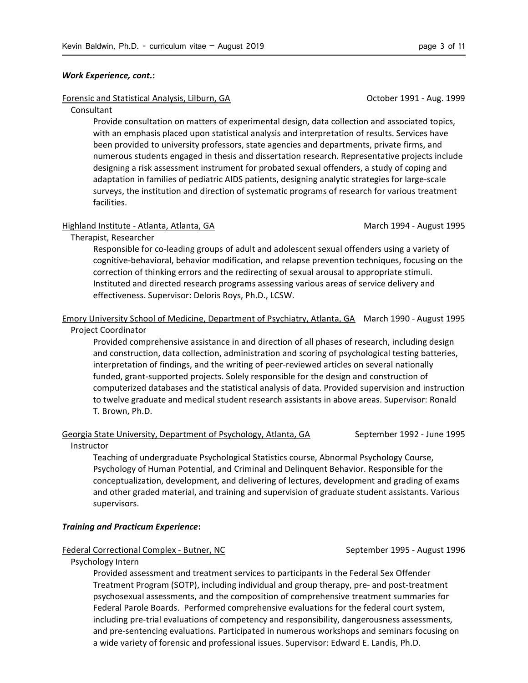#### Work Experience, cont.:

## Forensic and Statistical Analysis, Lilburn, GA Corollars Corollars Corollars Corollars Aug. 1999

#### Consultant

Provide consultation on matters of experimental design, data collection and associated topics, with an emphasis placed upon statistical analysis and interpretation of results. Services have been provided to university professors, state agencies and departments, private firms, and numerous students engaged in thesis and dissertation research. Representative projects include designing a risk assessment instrument for probated sexual offenders, a study of coping and adaptation in families of pediatric AIDS patients, designing analytic strategies for large-scale surveys, the institution and direction of systematic programs of research for various treatment facilities.

#### Highland Institute - Atlanta, Atlanta, GA March 1994 - August 1995

Therapist, Researcher

Responsible for co-leading groups of adult and adolescent sexual offenders using a variety of cognitive-behavioral, behavior modification, and relapse prevention techniques, focusing on the correction of thinking errors and the redirecting of sexual arousal to appropriate stimuli. Instituted and directed research programs assessing various areas of service delivery and effectiveness. Supervisor: Deloris Roys, Ph.D., LCSW.

## Emory University School of Medicine, Department of Psychiatry, Atlanta, GA March 1990 - August 1995 Project Coordinator

Provided comprehensive assistance in and direction of all phases of research, including design and construction, data collection, administration and scoring of psychological testing batteries, interpretation of findings, and the writing of peer-reviewed articles on several nationally funded, grant-supported projects. Solely responsible for the design and construction of computerized databases and the statistical analysis of data. Provided supervision and instruction to twelve graduate and medical student research assistants in above areas. Supervisor: Ronald T. Brown, Ph.D.

# Georgia State University, Department of Psychology, Atlanta, GA September 1992 - June 1995

Instructor

Teaching of undergraduate Psychological Statistics course, Abnormal Psychology Course, Psychology of Human Potential, and Criminal and Delinquent Behavior. Responsible for the conceptualization, development, and delivering of lectures, development and grading of exams and other graded material, and training and supervision of graduate student assistants. Various supervisors.

# Training and Practicum Experience:

#### Federal Correctional Complex - Butner, NC September 1995 - August 1996

Psychology Intern

Provided assessment and treatment services to participants in the Federal Sex Offender Treatment Program (SOTP), including individual and group therapy, pre- and post-treatment psychosexual assessments, and the composition of comprehensive treatment summaries for Federal Parole Boards. Performed comprehensive evaluations for the federal court system, including pre-trial evaluations of competency and responsibility, dangerousness assessments, and pre-sentencing evaluations. Participated in numerous workshops and seminars focusing on a wide variety of forensic and professional issues. Supervisor: Edward E. Landis, Ph.D.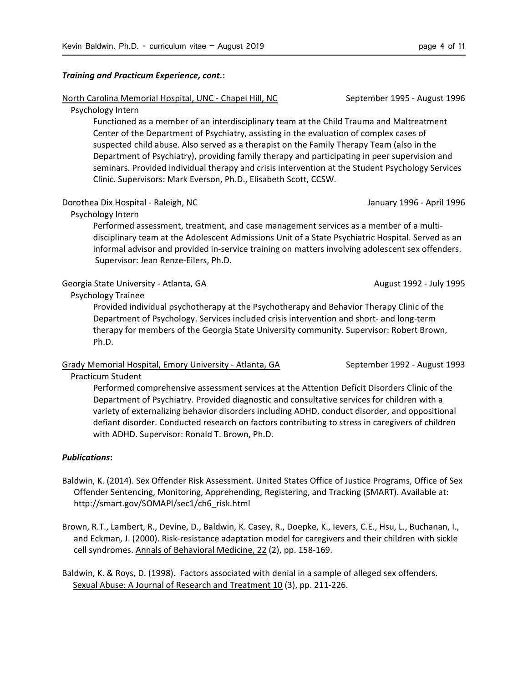## Training and Practicum Experience, cont.:

## North Carolina Memorial Hospital, UNC - Chapel Hill, NC September 1995 - August 1996

## Psychology Intern

Functioned as a member of an interdisciplinary team at the Child Trauma and Maltreatment Center of the Department of Psychiatry, assisting in the evaluation of complex cases of suspected child abuse. Also served as a therapist on the Family Therapy Team (also in the Department of Psychiatry), providing family therapy and participating in peer supervision and seminars. Provided individual therapy and crisis intervention at the Student Psychology Services Clinic. Supervisors: Mark Everson, Ph.D., Elisabeth Scott, CCSW.

## Dorothea Dix Hospital - Raleigh, NC January 1996 - April 1996 - April 1996

# Psychology Intern

Performed assessment, treatment, and case management services as a member of a multidisciplinary team at the Adolescent Admissions Unit of a State Psychiatric Hospital. Served as an informal advisor and provided in-service training on matters involving adolescent sex offenders. Supervisor: Jean Renze-Eilers, Ph.D.

# Georgia State University - Atlanta, GA August 1992 - July 1995

Psychology Trainee

Provided individual psychotherapy at the Psychotherapy and Behavior Therapy Clinic of the Department of Psychology. Services included crisis intervention and short- and long-term therapy for members of the Georgia State University community. Supervisor: Robert Brown, Ph.D.

# Grady Memorial Hospital, Emory University - Atlanta, GA September 1992 - August 1993

Practicum Student

Performed comprehensive assessment services at the Attention Deficit Disorders Clinic of the Department of Psychiatry. Provided diagnostic and consultative services for children with a variety of externalizing behavior disorders including ADHD, conduct disorder, and oppositional defiant disorder. Conducted research on factors contributing to stress in caregivers of children with ADHD. Supervisor: Ronald T. Brown, Ph.D.

# Publications:

- Baldwin, K. (2014). Sex Offender Risk Assessment. United States Office of Justice Programs, Office of Sex Offender Sentencing, Monitoring, Apprehending, Registering, and Tracking (SMART). Available at: http://smart.gov/SOMAPI/sec1/ch6\_risk.html
- Brown, R.T., Lambert, R., Devine, D., Baldwin, K. Casey, R., Doepke, K., Ievers, C.E., Hsu, L., Buchanan, I., and Eckman, J. (2000). Risk-resistance adaptation model for caregivers and their children with sickle cell syndromes. Annals of Behavioral Medicine, 22 (2), pp. 158-169.

Baldwin, K. & Roys, D. (1998). Factors associated with denial in a sample of alleged sex offenders. Sexual Abuse: A Journal of Research and Treatment 10 (3), pp. 211-226.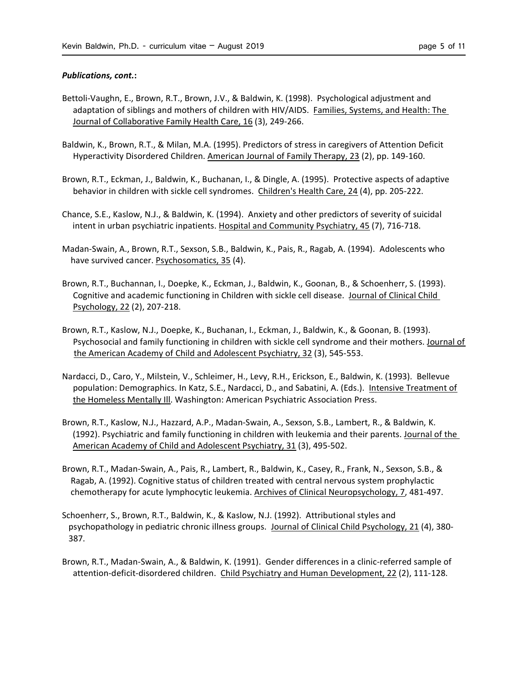#### Publications, cont.:

- Bettoli-Vaughn, E., Brown, R.T., Brown, J.V., & Baldwin, K. (1998). Psychological adjustment and adaptation of siblings and mothers of children with HIV/AIDS. Families, Systems, and Health: The Journal of Collaborative Family Health Care, 16 (3), 249-266.
- Baldwin, K., Brown, R.T., & Milan, M.A. (1995). Predictors of stress in caregivers of Attention Deficit Hyperactivity Disordered Children. American Journal of Family Therapy, 23 (2), pp. 149-160.
- Brown, R.T., Eckman, J., Baldwin, K., Buchanan, I., & Dingle, A. (1995). Protective aspects of adaptive behavior in children with sickle cell syndromes. Children's Health Care, 24 (4), pp. 205-222.
- Chance, S.E., Kaslow, N.J., & Baldwin, K. (1994). Anxiety and other predictors of severity of suicidal intent in urban psychiatric inpatients. Hospital and Community Psychiatry, 45 (7), 716-718.
- Madan-Swain, A., Brown, R.T., Sexson, S.B., Baldwin, K., Pais, R., Ragab, A. (1994). Adolescents who have survived cancer. Psychosomatics, 35 (4).
- Brown, R.T., Buchannan, I., Doepke, K., Eckman, J., Baldwin, K., Goonan, B., & Schoenherr, S. (1993). Cognitive and academic functioning in Children with sickle cell disease. Journal of Clinical Child Psychology, 22 (2), 207-218.
- Brown, R.T., Kaslow, N.J., Doepke, K., Buchanan, I., Eckman, J., Baldwin, K., & Goonan, B. (1993). Psychosocial and family functioning in children with sickle cell syndrome and their mothers. Journal of the American Academy of Child and Adolescent Psychiatry, 32 (3), 545-553.
- Nardacci, D., Caro, Y., Milstein, V., Schleimer, H., Levy, R.H., Erickson, E., Baldwin, K. (1993). Bellevue population: Demographics. In Katz, S.E., Nardacci, D., and Sabatini, A. (Eds.). Intensive Treatment of the Homeless Mentally Ill. Washington: American Psychiatric Association Press.
- Brown, R.T., Kaslow, N.J., Hazzard, A.P., Madan-Swain, A., Sexson, S.B., Lambert, R., & Baldwin, K. (1992). Psychiatric and family functioning in children with leukemia and their parents. Journal of the American Academy of Child and Adolescent Psychiatry, 31 (3), 495-502.
- Brown, R.T., Madan-Swain, A., Pais, R., Lambert, R., Baldwin, K., Casey, R., Frank, N., Sexson, S.B., & Ragab, A. (1992). Cognitive status of children treated with central nervous system prophylactic chemotherapy for acute lymphocytic leukemia. Archives of Clinical Neuropsychology, 7, 481-497.
- Schoenherr, S., Brown, R.T., Baldwin, K., & Kaslow, N.J. (1992). Attributional styles and psychopathology in pediatric chronic illness groups. Journal of Clinical Child Psychology, 21 (4), 380- 387.
- Brown, R.T., Madan-Swain, A., & Baldwin, K. (1991). Gender differences in a clinic-referred sample of attention-deficit-disordered children. Child Psychiatry and Human Development, 22 (2), 111-128.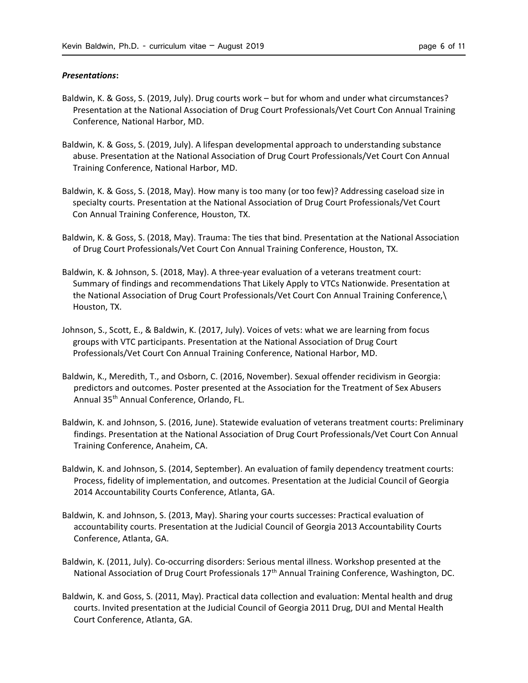## Presentations:

- Baldwin, K. & Goss, S. (2019, July). Drug courts work but for whom and under what circumstances? Presentation at the National Association of Drug Court Professionals/Vet Court Con Annual Training Conference, National Harbor, MD.
- Baldwin, K. & Goss, S. (2019, July). A lifespan developmental approach to understanding substance abuse. Presentation at the National Association of Drug Court Professionals/Vet Court Con Annual Training Conference, National Harbor, MD.
- Baldwin, K. & Goss, S. (2018, May). How many is too many (or too few)? Addressing caseload size in specialty courts. Presentation at the National Association of Drug Court Professionals/Vet Court Con Annual Training Conference, Houston, TX.
- Baldwin, K. & Goss, S. (2018, May). Trauma: The ties that bind. Presentation at the National Association of Drug Court Professionals/Vet Court Con Annual Training Conference, Houston, TX.
- Baldwin, K. & Johnson, S. (2018, May). A three-year evaluation of a veterans treatment court: Summary of findings and recommendations That Likely Apply to VTCs Nationwide. Presentation at the National Association of Drug Court Professionals/Vet Court Con Annual Training Conference,\ Houston, TX.
- Johnson, S., Scott, E., & Baldwin, K. (2017, July). Voices of vets: what we are learning from focus groups with VTC participants. Presentation at the National Association of Drug Court Professionals/Vet Court Con Annual Training Conference, National Harbor, MD.
- Baldwin, K., Meredith, T., and Osborn, C. (2016, November). Sexual offender recidivism in Georgia: predictors and outcomes. Poster presented at the Association for the Treatment of Sex Abusers Annual 35th Annual Conference, Orlando, FL.
- Baldwin, K. and Johnson, S. (2016, June). Statewide evaluation of veterans treatment courts: Preliminary findings. Presentation at the National Association of Drug Court Professionals/Vet Court Con Annual Training Conference, Anaheim, CA.
- Baldwin, K. and Johnson, S. (2014, September). An evaluation of family dependency treatment courts: Process, fidelity of implementation, and outcomes. Presentation at the Judicial Council of Georgia 2014 Accountability Courts Conference, Atlanta, GA.
- Baldwin, K. and Johnson, S. (2013, May). Sharing your courts successes: Practical evaluation of accountability courts. Presentation at the Judicial Council of Georgia 2013 Accountability Courts Conference, Atlanta, GA.
- Baldwin, K. (2011, July). Co-occurring disorders: Serious mental illness. Workshop presented at the National Association of Drug Court Professionals 17<sup>th</sup> Annual Training Conference, Washington, DC.
- Baldwin, K. and Goss, S. (2011, May). Practical data collection and evaluation: Mental health and drug courts. Invited presentation at the Judicial Council of Georgia 2011 Drug, DUI and Mental Health Court Conference, Atlanta, GA.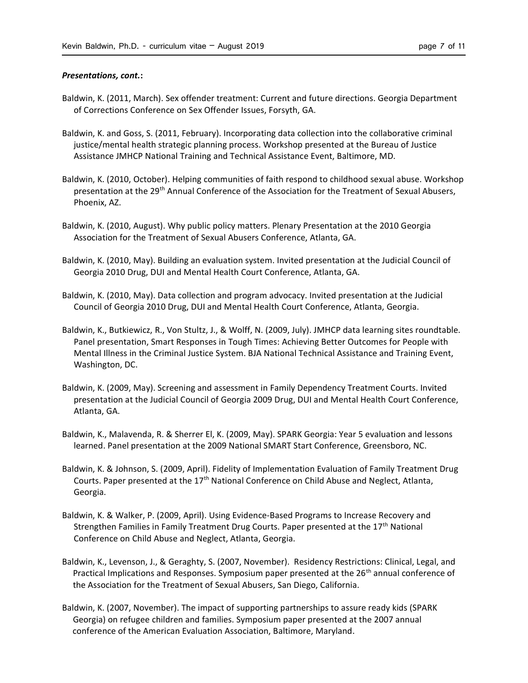### Presentations, cont.:

- Baldwin, K. (2011, March). Sex offender treatment: Current and future directions. Georgia Department of Corrections Conference on Sex Offender Issues, Forsyth, GA.
- Baldwin, K. and Goss, S. (2011, February). Incorporating data collection into the collaborative criminal justice/mental health strategic planning process. Workshop presented at the Bureau of Justice Assistance JMHCP National Training and Technical Assistance Event, Baltimore, MD.
- Baldwin, K. (2010, October). Helping communities of faith respond to childhood sexual abuse. Workshop presentation at the 29th Annual Conference of the Association for the Treatment of Sexual Abusers, Phoenix, AZ.
- Baldwin, K. (2010, August). Why public policy matters. Plenary Presentation at the 2010 Georgia Association for the Treatment of Sexual Abusers Conference, Atlanta, GA.
- Baldwin, K. (2010, May). Building an evaluation system. Invited presentation at the Judicial Council of Georgia 2010 Drug, DUI and Mental Health Court Conference, Atlanta, GA.
- Baldwin, K. (2010, May). Data collection and program advocacy. Invited presentation at the Judicial Council of Georgia 2010 Drug, DUI and Mental Health Court Conference, Atlanta, Georgia.
- Baldwin, K., Butkiewicz, R., Von Stultz, J., & Wolff, N. (2009, July). JMHCP data learning sites roundtable. Panel presentation, Smart Responses in Tough Times: Achieving Better Outcomes for People with Mental Illness in the Criminal Justice System. BJA National Technical Assistance and Training Event, Washington, DC.
- Baldwin, K. (2009, May). Screening and assessment in Family Dependency Treatment Courts. Invited presentation at the Judicial Council of Georgia 2009 Drug, DUI and Mental Health Court Conference, Atlanta, GA.
- Baldwin, K., Malavenda, R. & Sherrer El, K. (2009, May). SPARK Georgia: Year 5 evaluation and lessons learned. Panel presentation at the 2009 National SMART Start Conference, Greensboro, NC.
- Baldwin, K. & Johnson, S. (2009, April). Fidelity of Implementation Evaluation of Family Treatment Drug Courts. Paper presented at the  $17<sup>th</sup>$  National Conference on Child Abuse and Neglect, Atlanta, Georgia.
- Baldwin, K. & Walker, P. (2009, April). Using Evidence-Based Programs to Increase Recovery and Strengthen Families in Family Treatment Drug Courts. Paper presented at the  $17<sup>th</sup>$  National Conference on Child Abuse and Neglect, Atlanta, Georgia.
- Baldwin, K., Levenson, J., & Geraghty, S. (2007, November). Residency Restrictions: Clinical, Legal, and Practical Implications and Responses. Symposium paper presented at the 26<sup>th</sup> annual conference of the Association for the Treatment of Sexual Abusers, San Diego, California.
- Baldwin, K. (2007, November). The impact of supporting partnerships to assure ready kids (SPARK Georgia) on refugee children and families. Symposium paper presented at the 2007 annual conference of the American Evaluation Association, Baltimore, Maryland.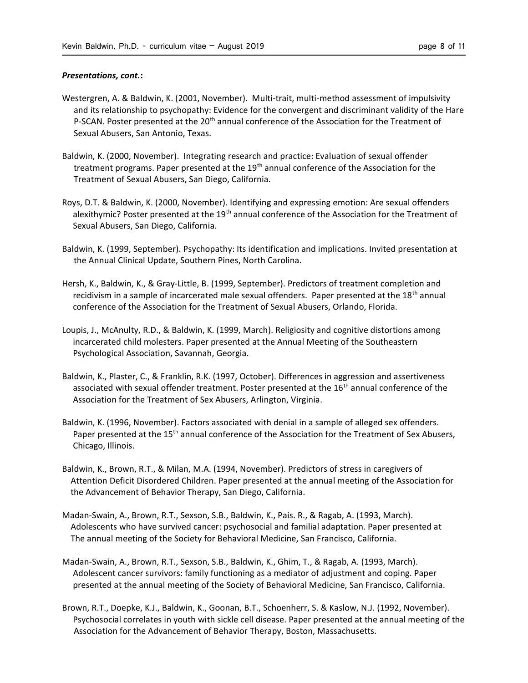## Presentations, cont.:

- Westergren, A. & Baldwin, K. (2001, November). Multi-trait, multi-method assessment of impulsivity and its relationship to psychopathy: Evidence for the convergent and discriminant validity of the Hare P-SCAN. Poster presented at the 20<sup>th</sup> annual conference of the Association for the Treatment of Sexual Abusers, San Antonio, Texas.
- Baldwin, K. (2000, November). Integrating research and practice: Evaluation of sexual offender treatment programs. Paper presented at the 19<sup>th</sup> annual conference of the Association for the Treatment of Sexual Abusers, San Diego, California.
- Roys, D.T. & Baldwin, K. (2000, November). Identifying and expressing emotion: Are sexual offenders alexithymic? Poster presented at the 19<sup>th</sup> annual conference of the Association for the Treatment of Sexual Abusers, San Diego, California.
- Baldwin, K. (1999, September). Psychopathy: Its identification and implications. Invited presentation at the Annual Clinical Update, Southern Pines, North Carolina.
- Hersh, K., Baldwin, K., & Gray-Little, B. (1999, September). Predictors of treatment completion and recidivism in a sample of incarcerated male sexual offenders. Paper presented at the 18<sup>th</sup> annual conference of the Association for the Treatment of Sexual Abusers, Orlando, Florida.
- Loupis, J., McAnulty, R.D., & Baldwin, K. (1999, March). Religiosity and cognitive distortions among incarcerated child molesters. Paper presented at the Annual Meeting of the Southeastern Psychological Association, Savannah, Georgia.
- Baldwin, K., Plaster, C., & Franklin, R.K. (1997, October). Differences in aggression and assertiveness associated with sexual offender treatment. Poster presented at the 16<sup>th</sup> annual conference of the Association for the Treatment of Sex Abusers, Arlington, Virginia.
- Baldwin, K. (1996, November). Factors associated with denial in a sample of alleged sex offenders. Paper presented at the 15<sup>th</sup> annual conference of the Association for the Treatment of Sex Abusers, Chicago, Illinois.
- Baldwin, K., Brown, R.T., & Milan, M.A. (1994, November). Predictors of stress in caregivers of Attention Deficit Disordered Children. Paper presented at the annual meeting of the Association for the Advancement of Behavior Therapy, San Diego, California.
- Madan-Swain, A., Brown, R.T., Sexson, S.B., Baldwin, K., Pais. R., & Ragab, A. (1993, March). Adolescents who have survived cancer: psychosocial and familial adaptation. Paper presented at The annual meeting of the Society for Behavioral Medicine, San Francisco, California.
- Madan-Swain, A., Brown, R.T., Sexson, S.B., Baldwin, K., Ghim, T., & Ragab, A. (1993, March). Adolescent cancer survivors: family functioning as a mediator of adjustment and coping. Paper presented at the annual meeting of the Society of Behavioral Medicine, San Francisco, California.
- Brown, R.T., Doepke, K.J., Baldwin, K., Goonan, B.T., Schoenherr, S. & Kaslow, N.J. (1992, November). Psychosocial correlates in youth with sickle cell disease. Paper presented at the annual meeting of the Association for the Advancement of Behavior Therapy, Boston, Massachusetts.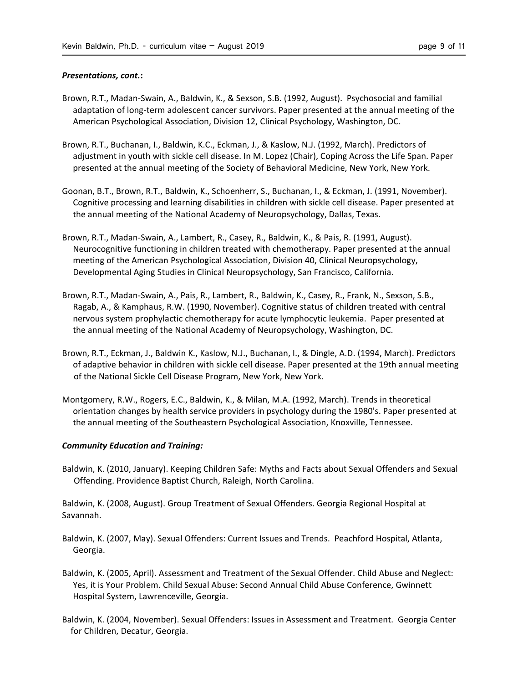## Presentations, cont.:

- Brown, R.T., Madan-Swain, A., Baldwin, K., & Sexson, S.B. (1992, August). Psychosocial and familial adaptation of long-term adolescent cancer survivors. Paper presented at the annual meeting of the American Psychological Association, Division 12, Clinical Psychology, Washington, DC.
- Brown, R.T., Buchanan, I., Baldwin, K.C., Eckman, J., & Kaslow, N.J. (1992, March). Predictors of adjustment in youth with sickle cell disease. In M. Lopez (Chair), Coping Across the Life Span. Paper presented at the annual meeting of the Society of Behavioral Medicine, New York, New York.
- Goonan, B.T., Brown, R.T., Baldwin, K., Schoenherr, S., Buchanan, I., & Eckman, J. (1991, November). Cognitive processing and learning disabilities in children with sickle cell disease. Paper presented at the annual meeting of the National Academy of Neuropsychology, Dallas, Texas.
- Brown, R.T., Madan-Swain, A., Lambert, R., Casey, R., Baldwin, K., & Pais, R. (1991, August). Neurocognitive functioning in children treated with chemotherapy. Paper presented at the annual meeting of the American Psychological Association, Division 40, Clinical Neuropsychology, Developmental Aging Studies in Clinical Neuropsychology, San Francisco, California.
- Brown, R.T., Madan-Swain, A., Pais, R., Lambert, R., Baldwin, K., Casey, R., Frank, N., Sexson, S.B., Ragab, A., & Kamphaus, R.W. (1990, November). Cognitive status of children treated with central nervous system prophylactic chemotherapy for acute lymphocytic leukemia. Paper presented at the annual meeting of the National Academy of Neuropsychology, Washington, DC.
- Brown, R.T., Eckman, J., Baldwin K., Kaslow, N.J., Buchanan, I., & Dingle, A.D. (1994, March). Predictors of adaptive behavior in children with sickle cell disease. Paper presented at the 19th annual meeting of the National Sickle Cell Disease Program, New York, New York.
- Montgomery, R.W., Rogers, E.C., Baldwin, K., & Milan, M.A. (1992, March). Trends in theoretical orientation changes by health service providers in psychology during the 1980's. Paper presented at the annual meeting of the Southeastern Psychological Association, Knoxville, Tennessee.

### Community Education and Training:

Baldwin, K. (2010, January). Keeping Children Safe: Myths and Facts about Sexual Offenders and Sexual Offending. Providence Baptist Church, Raleigh, North Carolina.

Baldwin, K. (2008, August). Group Treatment of Sexual Offenders. Georgia Regional Hospital at Savannah.

- Baldwin, K. (2007, May). Sexual Offenders: Current Issues and Trends. Peachford Hospital, Atlanta, Georgia.
- Baldwin, K. (2005, April). Assessment and Treatment of the Sexual Offender. Child Abuse and Neglect: Yes, it is Your Problem. Child Sexual Abuse: Second Annual Child Abuse Conference, Gwinnett Hospital System, Lawrenceville, Georgia.
- Baldwin, K. (2004, November). Sexual Offenders: Issues in Assessment and Treatment. Georgia Center for Children, Decatur, Georgia.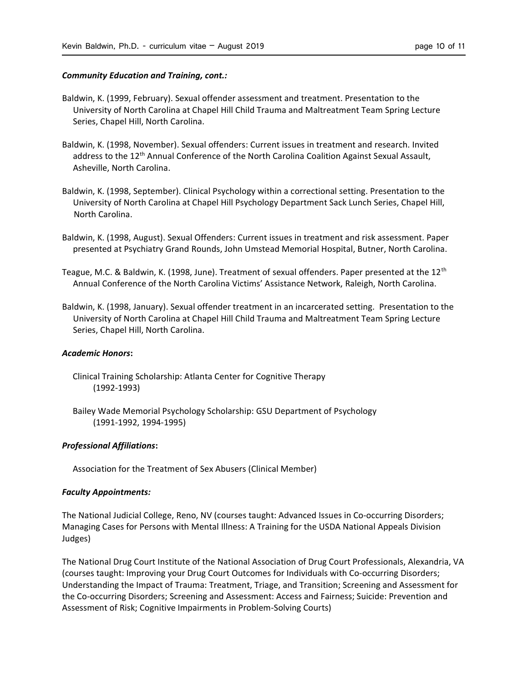### Community Education and Training, cont.:

- Baldwin, K. (1999, February). Sexual offender assessment and treatment. Presentation to the University of North Carolina at Chapel Hill Child Trauma and Maltreatment Team Spring Lecture Series, Chapel Hill, North Carolina.
- Baldwin, K. (1998, November). Sexual offenders: Current issues in treatment and research. Invited address to the 12<sup>th</sup> Annual Conference of the North Carolina Coalition Against Sexual Assault, Asheville, North Carolina.
- Baldwin, K. (1998, September). Clinical Psychology within a correctional setting. Presentation to the University of North Carolina at Chapel Hill Psychology Department Sack Lunch Series, Chapel Hill, North Carolina.
- Baldwin, K. (1998, August). Sexual Offenders: Current issues in treatment and risk assessment. Paper presented at Psychiatry Grand Rounds, John Umstead Memorial Hospital, Butner, North Carolina.
- Teague, M.C. & Baldwin, K. (1998, June). Treatment of sexual offenders. Paper presented at the 12<sup>th</sup> Annual Conference of the North Carolina Victims' Assistance Network, Raleigh, North Carolina.
- Baldwin, K. (1998, January). Sexual offender treatment in an incarcerated setting. Presentation to the University of North Carolina at Chapel Hill Child Trauma and Maltreatment Team Spring Lecture Series, Chapel Hill, North Carolina.

#### Academic Honors:

- Clinical Training Scholarship: Atlanta Center for Cognitive Therapy (1992-1993)
- Bailey Wade Memorial Psychology Scholarship: GSU Department of Psychology (1991-1992, 1994-1995)

# Professional Affiliations:

Association for the Treatment of Sex Abusers (Clinical Member)

# Faculty Appointments:

The National Judicial College, Reno, NV (courses taught: Advanced Issues in Co-occurring Disorders; Managing Cases for Persons with Mental Illness: A Training for the USDA National Appeals Division Judges)

The National Drug Court Institute of the National Association of Drug Court Professionals, Alexandria, VA (courses taught: Improving your Drug Court Outcomes for Individuals with Co-occurring Disorders; Understanding the Impact of Trauma: Treatment, Triage, and Transition; Screening and Assessment for the Co-occurring Disorders; Screening and Assessment: Access and Fairness; Suicide: Prevention and Assessment of Risk; Cognitive Impairments in Problem-Solving Courts)